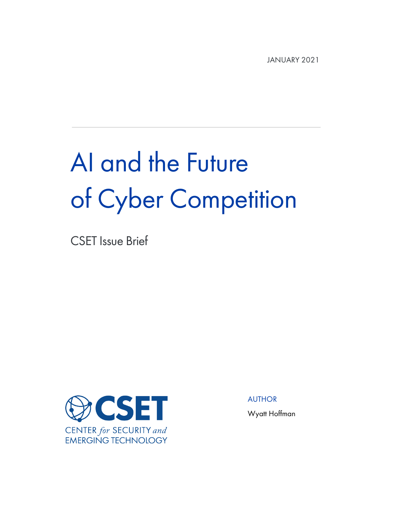JANUARY 2021

# AI and the Future of Cyber Competition

CSET Issue Brief



AUTHOR

Wyatt Hoffman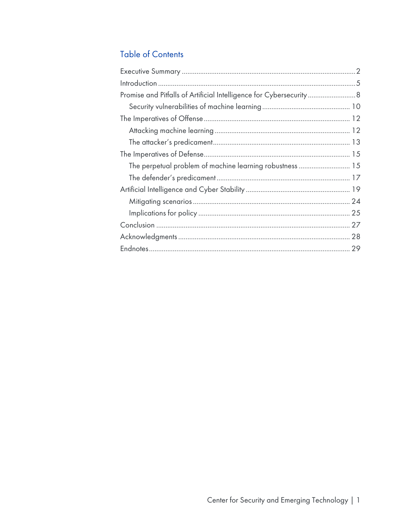# **Table of Contents**

| Promise and Pitfalls of Artificial Intelligence for Cybersecurity 8 |  |
|---------------------------------------------------------------------|--|
|                                                                     |  |
|                                                                     |  |
|                                                                     |  |
|                                                                     |  |
|                                                                     |  |
| The perpetual problem of machine learning robustness  15            |  |
|                                                                     |  |
|                                                                     |  |
|                                                                     |  |
|                                                                     |  |
|                                                                     |  |
|                                                                     |  |
|                                                                     |  |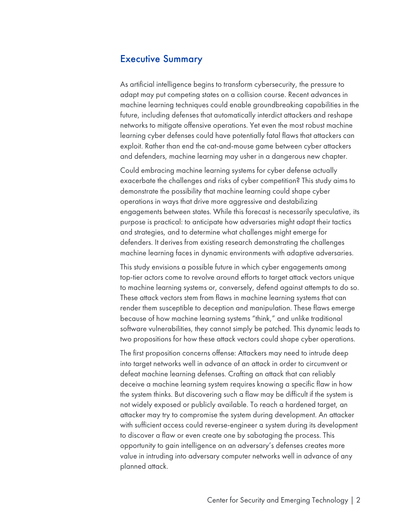#### Executive Summary

As artificial intelligence begins to transform cybersecurity, the pressure to adapt may put competing states on a collision course. Recent advances in machine learning techniques could enable groundbreaking capabilities in the future, including defenses that automatically interdict attackers and reshape networks to mitigate offensive operations. Yet even the most robust machine learning cyber defenses could have potentially fatal flaws that attackers can exploit. Rather than end the cat-and-mouse game between cyber attackers and defenders, machine learning may usher in a dangerous new chapter.

Could embracing machine learning systems for cyber defense actually exacerbate the challenges and risks of cyber competition? This study aims to demonstrate the possibility that machine learning could shape cyber operations in ways that drive more aggressive and destabilizing engagements between states. While this forecast is necessarily speculative, its purpose is practical: to anticipate how adversaries might adapt their tactics and strategies, and to determine what challenges might emerge for defenders. It derives from existing research demonstrating the challenges machine learning faces in dynamic environments with adaptive adversaries.

This study envisions a possible future in which cyber engagements among top-tier actors come to revolve around efforts to target attack vectors unique to machine learning systems or, conversely, defend against attempts to do so. These attack vectors stem from flaws in machine learning systems that can render them susceptible to deception and manipulation. These flaws emerge because of how machine learning systems "think," and unlike traditional software vulnerabilities, they cannot simply be patched. This dynamic leads to two propositions for how these attack vectors could shape cyber operations.

The first proposition concerns offense: Attackers may need to intrude deep into target networks well in advance of an attack in order to circumvent or defeat machine learning defenses. Crafting an attack that can reliably deceive a machine learning system requires knowing a specific flaw in how the system thinks. But discovering such a flaw may be difficult if the system is not widely exposed or publicly available. To reach a hardened target, an attacker may try to compromise the system during development. An attacker with sufficient access could reverse-engineer a system during its development to discover a flaw or even create one by sabotaging the process. This opportunity to gain intelligence on an adversary's defenses creates more value in intruding into adversary computer networks well in advance of any planned attack.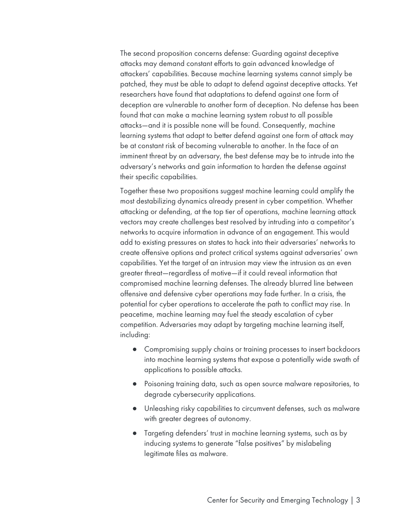The second proposition concerns defense: Guarding against deceptive attacks may demand constant efforts to gain advanced knowledge of attackers' capabilities. Because machine learning systems cannot simply be patched, they must be able to adapt to defend against deceptive attacks. Yet researchers have found that adaptations to defend against one form of deception are vulnerable to another form of deception. No defense has been found that can make a machine learning system robust to all possible attacks—and it is possible none will be found. Consequently, machine learning systems that adapt to better defend against one form of attack may be at constant risk of becoming vulnerable to another. In the face of an imminent threat by an adversary, the best defense may be to intrude into the adversary's networks and gain information to harden the defense against their specific capabilities.

Together these two propositions suggest machine learning could amplify the most destabilizing dynamics already present in cyber competition. Whether attacking or defending, at the top tier of operations, machine learning attack vectors may create challenges best resolved by intruding into a competitor's networks to acquire information in advance of an engagement. This would add to existing pressures on states to hack into their adversaries' networks to create offensive options and protect critical systems against adversaries' own capabilities. Yet the target of an intrusion may view the intrusion as an even greater threat—regardless of motive—if it could reveal information that compromised machine learning defenses. The already blurred line between offensive and defensive cyber operations may fade further. In a crisis, the potential for cyber operations to accelerate the path to conflict may rise. In peacetime, machine learning may fuel the steady escalation of cyber competition. Adversaries may adapt by targeting machine learning itself, including:

- Compromising supply chains or training processes to insert backdoors into machine learning systems that expose a potentially wide swath of applications to possible attacks.
- Poisoning training data, such as open source malware repositories, to degrade cybersecurity applications.
- Unleashing risky capabilities to circumvent defenses, such as malware with greater degrees of autonomy.
- Targeting defenders' trust in machine learning systems, such as by inducing systems to generate "false positives" by mislabeling legitimate files as malware.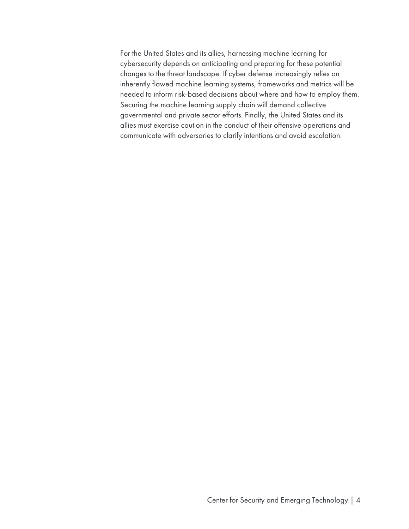For the United States and its allies, harnessing machine learning for cybersecurity depends on anticipating and preparing for these potential changes to the threat landscape. If cyber defense increasingly relies on inherently flawed machine learning systems, frameworks and metrics will be needed to inform risk-based decisions about where and how to employ them. Securing the machine learning supply chain will demand collective governmental and private sector efforts. Finally, the United States and its allies must exercise caution in the conduct of their offensive operations and communicate with adversaries to clarify intentions and avoid escalation.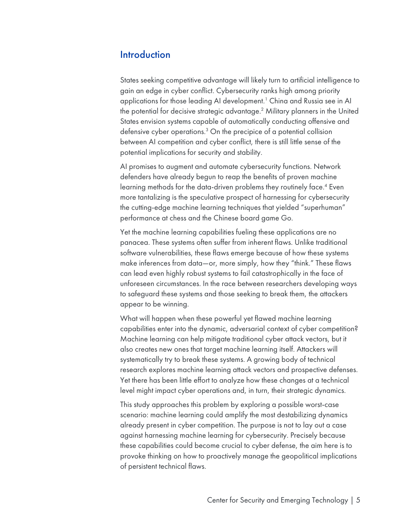#### **Introduction**

States seeking competitive advantage will likely turn to artificial intelligence to gain an edge in cyber conflict. Cybersecurity ranks high among priority applications for those leading AI development.<sup>1</sup> China and Russia see in AI the potential for decisive strategic advantage.2 Military planners in the United States envision systems capable of automatically conducting offensive and defensive cyber operations.3 On the precipice of a potential collision between AI competition and cyber conflict, there is still little sense of the potential implications for security and stability.

AI promises to augment and automate cybersecurity functions. Network defenders have already begun to reap the benefits of proven machine learning methods for the data-driven problems they routinely face.<sup>4</sup> Even more tantalizing is the speculative prospect of harnessing for cybersecurity the cutting-edge machine learning techniques that yielded "superhuman" performance at chess and the Chinese board game Go.

Yet the machine learning capabilities fueling these applications are no panacea. These systems often suffer from inherent flaws. Unlike traditional software vulnerabilities, these flaws emerge because of how these systems make inferences from data—or, more simply, how they "think." These flaws can lead even highly robust systems to fail catastrophically in the face of unforeseen circumstances. In the race between researchers developing ways to safeguard these systems and those seeking to break them, the attackers appear to be winning.

What will happen when these powerful yet flawed machine learning capabilities enter into the dynamic, adversarial context of cyber competition? Machine learning can help mitigate traditional cyber attack vectors, but it also creates new ones that target machine learning itself. Attackers will systematically try to break these systems. A growing body of technical research explores machine learning attack vectors and prospective defenses. Yet there has been little effort to analyze how these changes at a technical level might impact cyber operations and, in turn, their strategic dynamics.

This study approaches this problem by exploring a possible worst-case scenario: machine learning could amplify the most destabilizing dynamics already present in cyber competition. The purpose is not to lay out a case against harnessing machine learning for cybersecurity. Precisely because these capabilities could become crucial to cyber defense, the aim here is to provoke thinking on how to proactively manage the geopolitical implications of persistent technical flaws.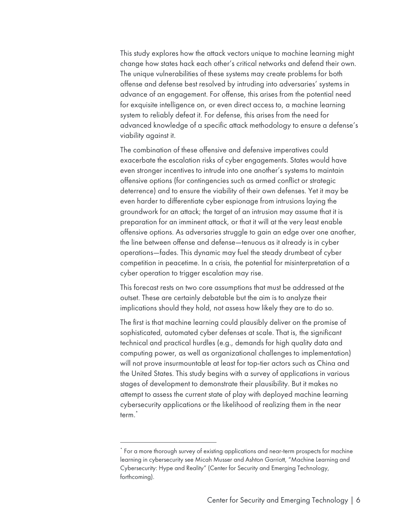This study explores how the attack vectors unique to machine learning might change how states hack each other's critical networks and defend their own. The unique vulnerabilities of these systems may create problems for both offense and defense best resolved by intruding into adversaries' systems in advance of an engagement. For offense, this arises from the potential need for exquisite intelligence on, or even direct access to, a machine learning system to reliably defeat it. For defense, this arises from the need for advanced knowledge of a specific attack methodology to ensure a defense's viability against it.

The combination of these offensive and defensive imperatives could exacerbate the escalation risks of cyber engagements. States would have even stronger incentives to intrude into one another's systems to maintain offensive options (for contingencies such as armed conflict or strategic deterrence) and to ensure the viability of their own defenses. Yet it may be even harder to differentiate cyber espionage from intrusions laying the groundwork for an attack; the target of an intrusion may assume that it is preparation for an imminent attack, or that it will at the very least enable offensive options. As adversaries struggle to gain an edge over one another, the line between offense and defense—tenuous as it already is in cyber operations—fades. This dynamic may fuel the steady drumbeat of cyber competition in peacetime. In a crisis, the potential for misinterpretation of a cyber operation to trigger escalation may rise.

This forecast rests on two core assumptions that must be addressed at the outset. These are certainly debatable but the aim is to analyze their implications should they hold, not assess how likely they are to do so.

The first is that machine learning could plausibly deliver on the promise of sophisticated, automated cyber defenses at scale. That is, the significant technical and practical hurdles (e.g., demands for high quality data and computing power, as well as organizational challenges to implementation) will not prove insurmountable at least for top-tier actors such as China and the United States. This study begins with a survey of applications in various stages of development to demonstrate their plausibility. But it makes no attempt to assess the current state of play with deployed machine learning cybersecurity applications or the likelihood of realizing them in the near term.\*

<sup>\*</sup> For a more thorough survey of existing applications and near-term prospects for machine learning in cybersecurity see Micah Musser and Ashton Garriott, "Machine Learning and Cybersecurity: Hype and Reality" (Center for Security and Emerging Technology, forthcoming).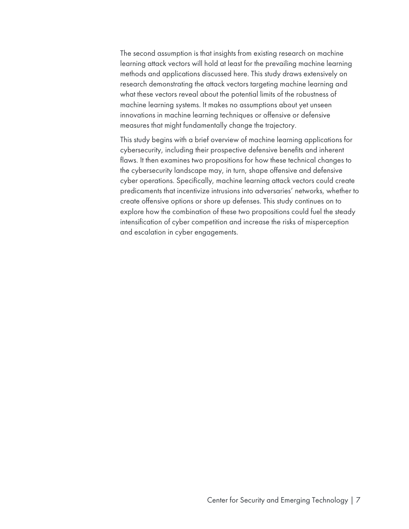The second assumption is that insights from existing research on machine learning attack vectors will hold at least for the prevailing machine learning methods and applications discussed here. This study draws extensively on research demonstrating the attack vectors targeting machine learning and what these vectors reveal about the potential limits of the robustness of machine learning systems. It makes no assumptions about yet unseen innovations in machine learning techniques or offensive or defensive measures that might fundamentally change the trajectory.

This study begins with a brief overview of machine learning applications for cybersecurity, including their prospective defensive benefits and inherent flaws. It then examines two propositions for how these technical changes to the cybersecurity landscape may, in turn, shape offensive and defensive cyber operations. Specifically, machine learning attack vectors could create predicaments that incentivize intrusions into adversaries' networks, whether to create offensive options or shore up defenses. This study continues on to explore how the combination of these two propositions could fuel the steady intensification of cyber competition and increase the risks of misperception and escalation in cyber engagements.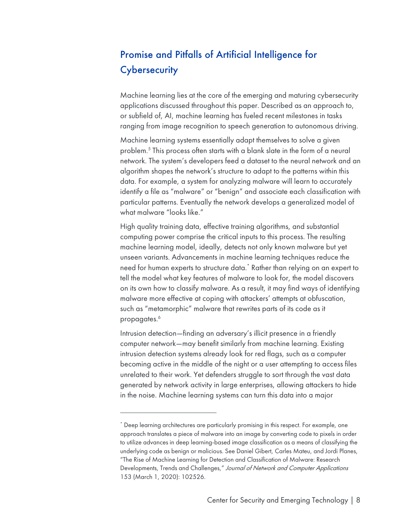# Promise and Pitfalls of Artificial Intelligence for **Cybersecurity**

Machine learning lies at the core of the emerging and maturing cybersecurity applications discussed throughout this paper. Described as an approach to, or subfield of, AI, machine learning has fueled recent milestones in tasks ranging from image recognition to speech generation to autonomous driving.

Machine learning systems essentially adapt themselves to solve a given problem. <sup>5</sup> This process often starts with a blank slate in the form of a neural network. The system's developers feed a dataset to the neural network and an algorithm shapes the network's structure to adapt to the patterns within this data. For example, a system for analyzing malware will learn to accurately identify a file as "malware" or "benign" and associate each classification with particular patterns. Eventually the network develops a generalized model of what malware "looks like."

High quality training data, effective training algorithms, and substantial computing power comprise the critical inputs to this process. The resulting machine learning model, ideally, detects not only known malware but yet unseen variants. Advancements in machine learning techniques reduce the need for human experts to structure data.\* Rather than relying on an expert to tell the model what key features of malware to look for, the model discovers on its own how to classify malware. As a result, it may find ways of identifying malware more effective at coping with attackers' attempts at obfuscation, such as "metamorphic" malware that rewrites parts of its code as it propagates.<sup>6</sup>

Intrusion detection—finding an adversary's illicit presence in a friendly computer network—may benefit similarly from machine learning. Existing intrusion detection systems already look for red flags, such as a computer becoming active in the middle of the night or a user attempting to access files unrelated to their work. Yet defenders struggle to sort through the vast data generated by network activity in large enterprises, allowing attackers to hide in the noise. Machine learning systems can turn this data into a major

<sup>\*</sup> Deep learning architectures are particularly promising in this respect. For example, one approach translates a piece of malware into an image by converting code to pixels in order to utilize advances in deep learning-based image classification as a means of classifying the underlying code as benign or malicious. See Daniel Gibert, Carles Mateu, and Jordi Planes, "The Rise of Machine Learning for Detection and Classification of Malware: Research Developments, Trends and Challenges," Journal of Network and Computer Applications 153 (March 1, 2020): 102526.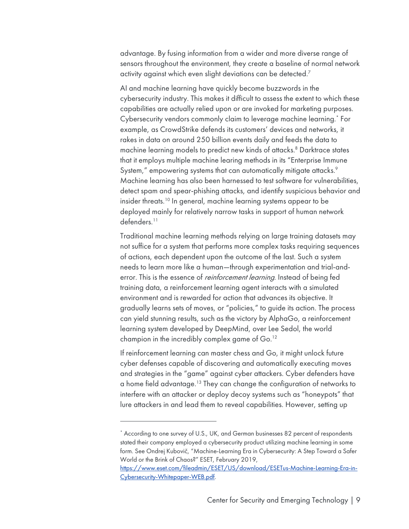advantage. By fusing information from a wider and more diverse range of sensors throughout the environment, they create a baseline of normal network activity against which even slight deviations can be detected.<sup>7</sup>

AI and machine learning have quickly become buzzwords in the cybersecurity industry. This makes it difficult to assess the extent to which these capabilities are actually relied upon or are invoked for marketing purposes. Cybersecurity vendors commonly claim to leverage machine learning.<sup>\*</sup> For example, as CrowdStrike defends its customers' devices and networks, it rakes in data on around 250 billion events daily and feeds the data to machine learning models to predict new kinds of attacks.<sup>8</sup> Darktrace states that it employs multiple machine learing methods in its "Enterprise Immune System," empowering systems that can automatically mitigate attacks.<sup>9</sup> Machine learning has also been harnessed to test software for vulnerabilities, detect spam and spear-phishing attacks, and identify suspicious behavior and insider threats.10 In general, machine learning systems appear to be deployed mainly for relatively narrow tasks in support of human network defenders. 11

Traditional machine learning methods relying on large training datasets may not suffice for a system that performs more complex tasks requiring sequences of actions, each dependent upon the outcome of the last. Such a system needs to learn more like a human—through experimentation and trial-anderror. This is the essence of *reinforcement learning*. Instead of being fed training data, a reinforcement learning agent interacts with a simulated environment and is rewarded for action that advances its objective. It gradually learns sets of moves, or "policies," to guide its action. The process can yield stunning results, such as the victory by AlphaGo, a reinforcement learning system developed by DeepMind, over Lee Sedol, the world champion in the incredibly complex game of Go.12

If reinforcement learning can master chess and Go, it might unlock future cyber defenses capable of discovering and automatically executing moves and strategies in the "game" against cyber attackers. Cyber defenders have a home field advantage.<sup>13</sup> They can change the configuration of networks to interfere with an attacker or deploy decoy systems such as "honeypots" that lure attackers in and lead them to reveal capabilities. However, setting up

<sup>\*</sup> According to one survey of U.S., UK, and German businesses 82 percent of respondents stated their company employed a cybersecurity product utilizing machine learning in some form. See Ondrej Kubovič, "Machine-Learning Era in Cybersecurity: A Step Toward a Safer World or the Brink of Chaos?" ESET, February 2019,

https://www.eset.com/fileadmin/ESET/US/download/ESETus-Machine-Learning-Era-in-Cybersecurity-Whitepaper-WEB.pdf.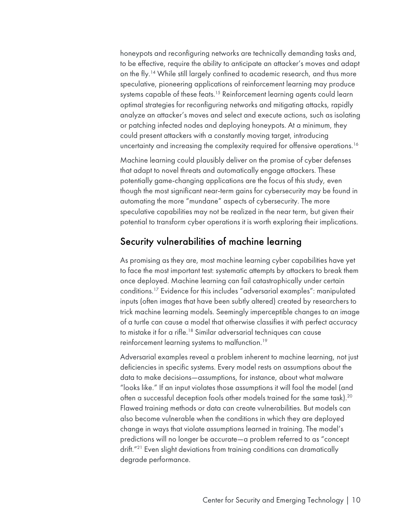honeypots and reconfiguring networks are technically demanding tasks and, to be effective, require the ability to anticipate an attacker's moves and adapt on the fly.<sup>14</sup> While still largely confined to academic research, and thus more speculative, pioneering applications of reinforcement learning may produce systems capable of these feats.<sup>15</sup> Reinforcement learning agents could learn optimal strategies for reconfiguring networks and mitigating attacks, rapidly analyze an attacker's moves and select and execute actions, such as isolating or patching infected nodes and deploying honeypots. At a minimum, they could present attackers with a constantly moving target, introducing uncertainty and increasing the complexity required for offensive operations.<sup>16</sup>

Machine learning could plausibly deliver on the promise of cyber defenses that adapt to novel threats and automatically engage attackers. These potentially game-changing applications are the focus of this study, even though the most significant near-term gains for cybersecurity may be found in automating the more "mundane" aspects of cybersecurity. The more speculative capabilities may not be realized in the near term, but given their potential to transform cyber operations it is worth exploring their implications.

#### Security vulnerabilities of machine learning

As promising as they are, most machine learning cyber capabilities have yet to face the most important test: systematic attempts by attackers to break them once deployed. Machine learning can fail catastrophically under certain conditions.17 Evidence for this includes "adversarial examples": manipulated inputs (often images that have been subtly altered) created by researchers to trick machine learning models. Seemingly imperceptible changes to an image of a turtle can cause a model that otherwise classifies it with perfect accuracy to mistake it for a rifle.18 Similar adversarial techniques can cause reinforcement learning systems to malfunction.19

Adversarial examples reveal a problem inherent to machine learning, not just deficiencies in specific systems. Every model rests on assumptions about the data to make decisions—assumptions, for instance, about what malware "looks like." If an input violates those assumptions it will fool the model (and often a successful deception fools other models trained for the same task).20 Flawed training methods or data can create vulnerabilities. But models can also become vulnerable when the conditions in which they are deployed change in ways that violate assumptions learned in training. The model's predictions will no longer be accurate—a problem referred to as "concept drift.<sup>"21</sup> Even slight deviations from training conditions can dramatically degrade performance.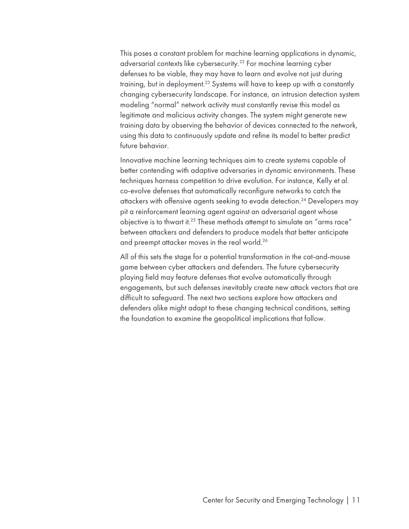This poses a constant problem for machine learning applications in dynamic, adversarial contexts like cybersecurity.<sup>22</sup> For machine learning cyber defenses to be viable, they may have to learn and evolve not just during training, but in deployment.<sup>23</sup> Systems will have to keep up with a constantly changing cybersecurity landscape. For instance, an intrusion detection system modeling "normal" network activity must constantly revise this model as legitimate and malicious activity changes. The system might generate new training data by observing the behavior of devices connected to the network, using this data to continuously update and refine its model to better predict future behavior.

Innovative machine learning techniques aim to create systems capable of better contending with adaptive adversaries in dynamic environments. These techniques harness competition to drive evolution. For instance, Kelly et al. co-evolve defenses that automatically reconfigure networks to catch the attackers with offensive agents seeking to evade detection.24 Developers may pit a reinforcement learning agent against an adversarial agent whose objective is to thwart it.<sup>25</sup> These methods attempt to simulate an "arms race" between attackers and defenders to produce models that better anticipate and preempt attacker moves in the real world.26

All of this sets the stage for a potential transformation in the cat-and-mouse game between cyber attackers and defenders. The future cybersecurity playing field may feature defenses that evolve automatically through engagements, but such defenses inevitably create new attack vectors that are difficult to safeguard. The next two sections explore how attackers and defenders alike might adapt to these changing technical conditions, setting the foundation to examine the geopolitical implications that follow.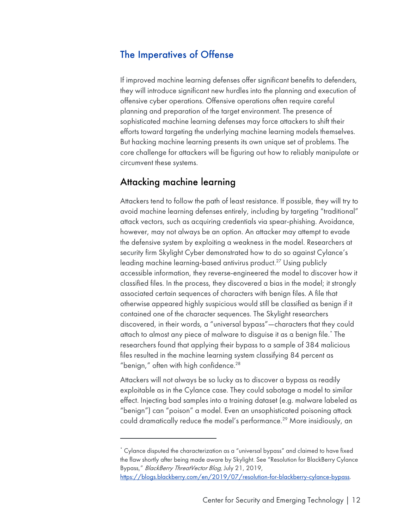#### The Imperatives of Offense

If improved machine learning defenses offer significant benefits to defenders, they will introduce significant new hurdles into the planning and execution of offensive cyber operations. Offensive operations often require careful planning and preparation of the target environment. The presence of sophisticated machine learning defenses may force attackers to shift their efforts toward targeting the underlying machine learning models themselves. But hacking machine learning presents its own unique set of problems. The core challenge for attackers will be figuring out how to reliably manipulate or circumvent these systems.

#### Attacking machine learning

Attackers tend to follow the path of least resistance. If possible, they will try to avoid machine learning defenses entirely, including by targeting "traditional" attack vectors, such as acquiring credentials via spear-phishing. Avoidance, however, may not always be an option. An attacker may attempt to evade the defensive system by exploiting a weakness in the model. Researchers at security firm Skylight Cyber demonstrated how to do so against Cylance's leading machine learning-based antivirus product.<sup>27</sup> Using publicly accessible information, they reverse-engineered the model to discover how it classified files. In the process, they discovered a bias in the model; it strongly associated certain sequences of characters with benign files. A file that otherwise appeared highly suspicious would still be classified as benign if it contained one of the character sequences. The Skylight researchers discovered, in their words, a "universal bypass"—characters that they could attach to almost any piece of malware to disguise it as a benign file.\* The researchers found that applying their bypass to a sample of 384 malicious files resulted in the machine learning system classifying 84 percent as "benign," often with high confidence. $28$ 

Attackers will not always be so lucky as to discover a bypass as readily exploitable as in the Cylance case. They could sabotage a model to similar effect. Injecting bad samples into a training dataset (e.g. malware labeled as "benign") can "poison" a model. Even an unsophisticated poisoning attack could dramatically reduce the model's performance.<sup>29</sup> More insidiously, an

<sup>\*</sup> Cylance disputed the characterization as a "universal bypass" and claimed to have fixed the flaw shortly after being made aware by Skylight. See "Resolution for BlackBerry Cylance Bypass," BlackBerry ThreatVector Blog, July 21, 2019,

https://blogs.blackberry.com/en/2019/07/resolution-for-blackberry-cylance-bypass.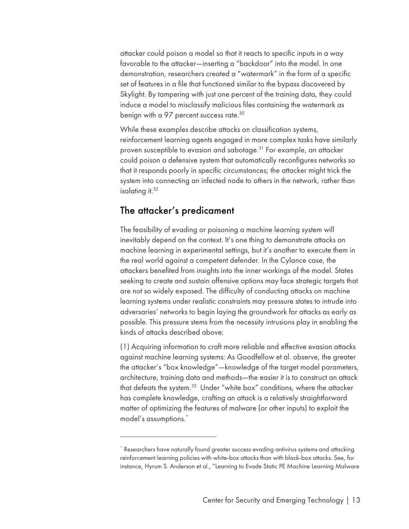attacker could poison a model so that it reacts to specific inputs in a way favorable to the attacker—inserting a "backdoor" into the model. In one demonstration, researchers created a "watermark" in the form of a specific set of features in a file that functioned similar to the bypass discovered by Skylight. By tampering with just one percent of the training data, they could induce a model to misclassify malicious files containing the watermark as benign with a 97 percent success rate.30

While these examples describe attacks on classification systems, reinforcement learning agents engaged in more complex tasks have similarly proven susceptible to evasion and sabotage.31 For example, an attacker could poison a defensive system that automatically reconfigures networks so that it responds poorly in specific circumstances; the attacker might trick the system into connecting an infected node to others in the network, rather than isolating it.<sup>32</sup>

#### The attacker's predicament

The feasibility of evading or poisoning a machine learning system will inevitably depend on the context. It's one thing to demonstrate attacks on machine learning in experimental settings, but it's another to execute them in the real world against a competent defender. In the Cylance case, the attackers benefited from insights into the inner workings of the model. States seeking to create and sustain offensive options may face strategic targets that are not so widely exposed. The difficulty of conducting attacks on machine learning systems under realistic constraints may pressure states to intrude into adversaries' networks to begin laying the groundwork for attacks as early as possible. This pressure stems from the necessity intrusions play in enabling the kinds of attacks described above:

(1) Acquiring information to craft more reliable and effective evasion attacks against machine learning systems: As Goodfellow et al. observe, the greater the attacker's "box knowledge"—knowledge of the target model parameters, architecture, training data and methods—the easier it is to construct an attack that defeats the system.<sup>33</sup> Under "white box" conditions, where the attacker has complete knowledge, crafting an attack is a relatively straightforward matter of optimizing the features of malware (or other inputs) to exploit the model's assumptions.\*

<sup>\*</sup> Researchers have naturally found greater success evading antivirus systems and attacking reinforcement learning policies with white-box attacks than with black-box attacks. See, for instance, Hyrum S. Anderson et al., "Learning to Evade Static PE Machine Learning Malware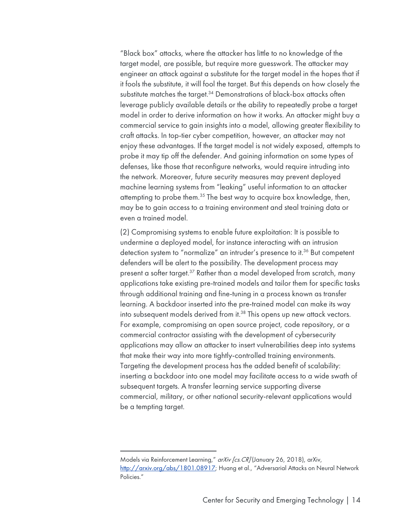"Black box" attacks, where the attacker has little to no knowledge of the target model, are possible, but require more guesswork. The attacker may engineer an attack against a substitute for the target model in the hopes that if it fools the substitute, it will fool the target. But this depends on how closely the substitute matches the target.<sup>34</sup> Demonstrations of black-box attacks often leverage publicly available details or the ability to repeatedly probe a target model in order to derive information on how it works. An attacker might buy a commercial service to gain insights into a model, allowing greater flexibility to craft attacks. In top-tier cyber competition, however, an attacker may not enjoy these advantages. If the target model is not widely exposed, attempts to probe it may tip off the defender. And gaining information on some types of defenses, like those that reconfigure networks, would require intruding into the network. Moreover, future security measures may prevent deployed machine learning systems from "leaking" useful information to an attacker attempting to probe them.35 The best way to acquire box knowledge, then, may be to gain access to a training environment and steal training data or even a trained model.

(2) Compromising systems to enable future exploitation: It is possible to undermine a deployed model, for instance interacting with an intrusion detection system to "normalize" an intruder's presence to it.<sup>36</sup> But competent defenders will be alert to the possibility. The development process may present a softer target.<sup>37</sup> Rather than a model developed from scratch, many applications take existing pre-trained models and tailor them for specific tasks through additional training and fine-tuning in a process known as transfer learning. A backdoor inserted into the pre-trained model can make its way into subsequent models derived from it.<sup>38</sup> This opens up new attack vectors. For example, compromising an open source project, code repository, or a commercial contractor assisting with the development of cybersecurity applications may allow an attacker to insert vulnerabilities deep into systems that make their way into more tightly-controlled training environments. Targeting the development process has the added benefit of scalability: inserting a backdoor into one model may facilitate access to a wide swath of subsequent targets. A transfer learning service supporting diverse commercial, military, or other national security-relevant applications would be a tempting target.

Models via Reinforcement Learning," arXiv [cs. CR] (January 26, 2018), arXiv, http://arxiv.org/abs/1801.08917; Huang et al., "Adversarial Attacks on Neural Network Policies."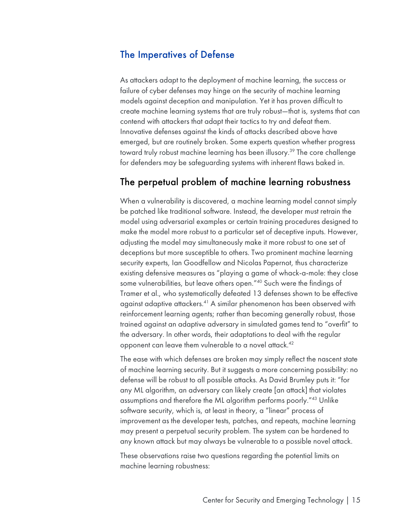#### The Imperatives of Defense

As attackers adapt to the deployment of machine learning, the success or failure of cyber defenses may hinge on the security of machine learning models against deception and manipulation. Yet it has proven difficult to create machine learning systems that are truly robust—that is, systems that can contend with attackers that adapt their tactics to try and defeat them. Innovative defenses against the kinds of attacks described above have emerged, but are routinely broken. Some experts question whether progress toward truly robust machine learning has been illusory.<sup>39</sup> The core challenge for defenders may be safeguarding systems with inherent flaws baked in.

#### The perpetual problem of machine learning robustness

When a vulnerability is discovered, a machine learning model cannot simply be patched like traditional software. Instead, the developer must retrain the model using adversarial examples or certain training procedures designed to make the model more robust to a particular set of deceptive inputs. However, adjusting the model may simultaneously make it more robust to one set of deceptions but more susceptible to others. Two prominent machine learning security experts, Ian Goodfellow and Nicolas Papernot, thus characterize existing defensive measures as "playing a game of whack-a-mole: they close some vulnerabilities, but leave others open."40 Such were the findings of Tramer et al., who systematically defeated 13 defenses shown to be effective against adaptive attackers.41 A similar phenomenon has been observed with reinforcement learning agents; rather than becoming generally robust, those trained against an adaptive adversary in simulated games tend to "overfit" to the adversary. In other words, their adaptations to deal with the regular opponent can leave them vulnerable to a novel attack.<sup>42</sup>

The ease with which defenses are broken may simply reflect the nascent state of machine learning security. But it suggests a more concerning possibility: no defense will be robust to all possible attacks. As David Brumley puts it: "for any ML algorithm, an adversary can likely create [an attack] that violates assumptions and therefore the ML algorithm performs poorly."43 Unlike software security, which is, at least in theory, a "linear" process of improvement as the developer tests, patches, and repeats, machine learning may present a perpetual security problem. The system can be hardened to any known attack but may always be vulnerable to a possible novel attack.

These observations raise two questions regarding the potential limits on machine learning robustness: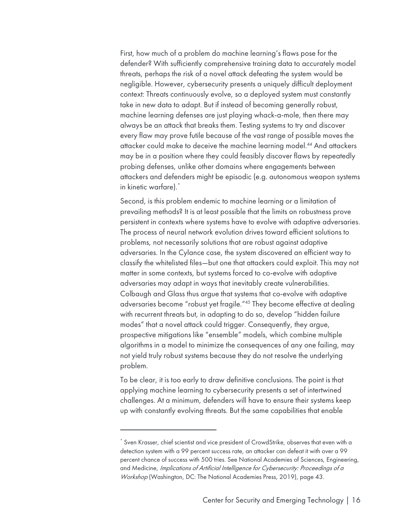First, how much of a problem do machine learning's flaws pose for the defender? With sufficiently comprehensive training data to accurately model threats, perhaps the risk of a novel attack defeating the system would be negligible. However, cybersecurity presents a uniquely difficult deployment context: Threats continuously evolve, so a deployed system must constantly take in new data to adapt. But if instead of becoming generally robust, machine learning defenses are just playing whack-a-mole, then there may always be an attack that breaks them. Testing systems to try and discover every flaw may prove futile because of the vast range of possible moves the attacker could make to deceive the machine learning model.44 And attackers may be in a position where they could feasibly discover flaws by repeatedly probing defenses, unlike other domains where engagements between attackers and defenders might be episodic (e.g. autonomous weapon systems in kinetic warfare).\*

Second, is this problem endemic to machine learning or a limitation of prevailing methods? It is at least possible that the limits on robustness prove persistent in contexts where systems have to evolve with adaptive adversaries. The process of neural network evolution drives toward efficient solutions to problems, not necessarily solutions that are robust against adaptive adversaries. In the Cylance case, the system discovered an efficient way to classify the whitelisted files—but one that attackers could exploit. This may not matter in some contexts, but systems forced to co-evolve with adaptive adversaries may adapt in ways that inevitably create vulnerabilities. Colbaugh and Glass thus argue that systems that co-evolve with adaptive adversaries become "robust yet fragile."45 They become effective at dealing with recurrent threats but, in adapting to do so, develop "hidden failure modes" that a novel attack could trigger. Consequently, they argue, prospective mitigations like "ensemble" models, which combine multiple algorithms in a model to minimize the consequences of any one failing, may not yield truly robust systems because they do not resolve the underlying problem.

To be clear, it is too early to draw definitive conclusions. The point is that applying machine learning to cybersecurity presents a set of intertwined challenges. At a minimum, defenders will have to ensure their systems keep up with constantly evolving threats. But the same capabilities that enable

<sup>\*</sup> Sven Krasser, chief scientist and vice president of CrowdStrike, observes that even with a detection system with a 99 percent success rate, an attacker can defeat it with over a 99 percent chance of success with 500 tries. See National Academies of Sciences, Engineering, and Medicine, Implications of Artificial Intelligence for Cybersecurity: Proceedings of a Workshop (Washington, DC: The National Academies Press, 2019), page 43.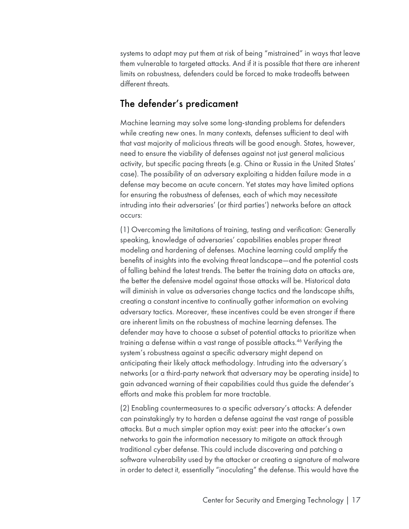systems to adapt may put them at risk of being "mistrained" in ways that leave them vulnerable to targeted attacks. And if it is possible that there are inherent limits on robustness, defenders could be forced to make tradeoffs between different threats.

#### The defender's predicament

Machine learning may solve some long-standing problems for defenders while creating new ones. In many contexts, defenses sufficient to deal with that vast majority of malicious threats will be good enough. States, however, need to ensure the viability of defenses against not just general malicious activity, but specific pacing threats (e.g. China or Russia in the United States' case). The possibility of an adversary exploiting a hidden failure mode in a defense may become an acute concern. Yet states may have limited options for ensuring the robustness of defenses, each of which may necessitate intruding into their adversaries' (or third parties') networks before an attack occurs:

(1) Overcoming the limitations of training, testing and verification: Generally speaking, knowledge of adversaries' capabilities enables proper threat modeling and hardening of defenses. Machine learning could amplify the benefits of insights into the evolving threat landscape—and the potential costs of falling behind the latest trends. The better the training data on attacks are, the better the defensive model against those attacks will be. Historical data will diminish in value as adversaries change tactics and the landscape shifts, creating a constant incentive to continually gather information on evolving adversary tactics. Moreover, these incentives could be even stronger if there are inherent limits on the robustness of machine learning defenses. The defender may have to choose a subset of potential attacks to prioritize when training a defense within a vast range of possible attacks.46 Verifying the system's robustness against a specific adversary might depend on anticipating their likely attack methodology. Intruding into the adversary's networks (or a third-party network that adversary may be operating inside) to gain advanced warning of their capabilities could thus guide the defender's efforts and make this problem far more tractable.

(2) Enabling countermeasures to a specific adversary's attacks: A defender can painstakingly try to harden a defense against the vast range of possible attacks. But a much simpler option may exist: peer into the attacker's own networks to gain the information necessary to mitigate an attack through traditional cyber defense. This could include discovering and patching a software vulnerability used by the attacker or creating a signature of malware in order to detect it, essentially "inoculating" the defense. This would have the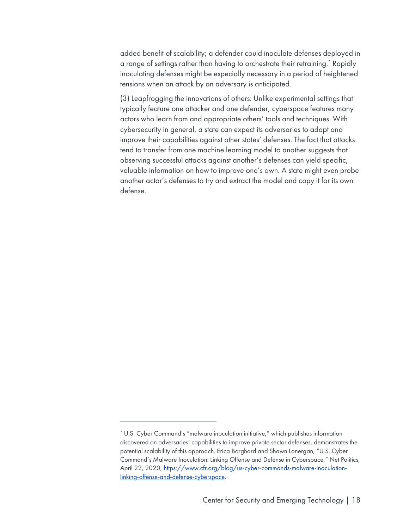added benefit of scalability; a defender could inoculate defenses deployed in a range of settings rather than having to orchestrate their retraining.\* Rapidly inoculating defenses might be especially necessary in a period of heightened tensions when an attack by an adversary is anticipated.

(3) Leapfrogging the innovations of others: Unlike experimental settings that typically feature one attacker and one defender, cyberspace features many actors who learn from and appropriate others' tools and techniques. With cybersecurity in general, a state can expect its adversaries to adapt and improve their capabilities against other states' defenses. The fact that attacks tend to transfer from one machine learning model to another suggests that observing successful attacks against another's defenses can yield specific, valuable information on how to improve one's own. A state might even probe another actor's defenses to try and extract the model and copy it for its own defense.

<sup>\*</sup> U.S. Cyber Command's "malware inoculation initiative," which publishes information discovered on adversaries' capabilities to improve private sector defenses, demonstrates the potential scalability of this approach. Erica Borghard and Shawn Lonergan, "U.S. Cyber Command's Malware Inoculation: Linking Offense and Defense in Cyberspace," Net Politics, April 22, 2020, https://www.cfr.org/blog/us-cyber-commands-malware-inoculationlinking-offense-and-defense-cyberspace.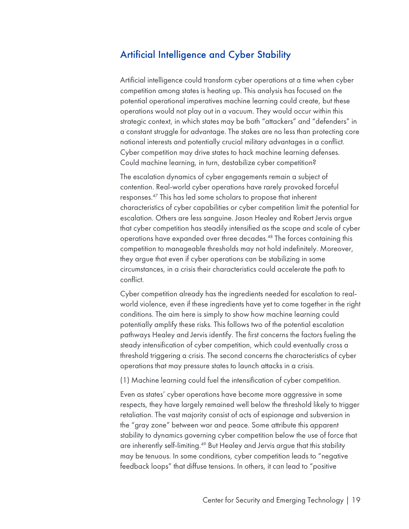#### Artificial Intelligence and Cyber Stability

Artificial intelligence could transform cyber operations at a time when cyber competition among states is heating up. This analysis has focused on the potential operational imperatives machine learning could create, but these operations would not play out in a vacuum. They would occur within this strategic context, in which states may be both "attackers" and "defenders" in a constant struggle for advantage. The stakes are no less than protecting core national interests and potentially crucial military advantages in a conflict. Cyber competition may drive states to hack machine learning defenses. Could machine learning, in turn, destabilize cyber competition?

The escalation dynamics of cyber engagements remain a subject of contention. Real-world cyber operations have rarely provoked forceful responses.47 This has led some scholars to propose that inherent characteristics of cyber capabilities or cyber competition limit the potential for escalation. Others are less sanguine. Jason Healey and Robert Jervis argue that cyber competition has steadily intensified as the scope and scale of cyber operations have expanded over three decades. <sup>48</sup> The forces containing this competition to manageable thresholds may not hold indefinitely. Moreover, they argue that even if cyber operations can be stabilizing in some circumstances, in a crisis their characteristics could accelerate the path to conflict.

Cyber competition already has the ingredients needed for escalation to realworld violence, even if these ingredients have yet to come together in the right conditions. The aim here is simply to show how machine learning could potentially amplify these risks. This follows two of the potential escalation pathways Healey and Jervis identify. The first concerns the factors fueling the steady intensification of cyber competition, which could eventually cross a threshold triggering a crisis. The second concerns the characteristics of cyber operations that may pressure states to launch attacks in a crisis.

(1) Machine learning could fuel the intensification of cyber competition.

Even as states' cyber operations have become more aggressive in some respects, they have largely remained well below the threshold likely to trigger retaliation. The vast majority consist of acts of espionage and subversion in the "gray zone" between war and peace. Some attribute this apparent stability to dynamics governing cyber competition below the use of force that are inherently self-limiting.<sup>49</sup> But Healey and Jervis argue that this stability may be tenuous. In some conditions, cyber competition leads to "negative feedback loops" that diffuse tensions. In others, it can lead to "positive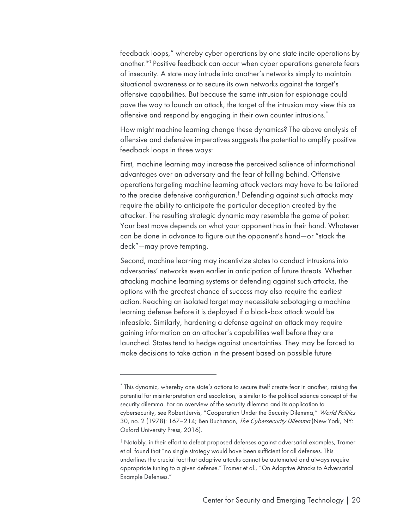feedback loops," whereby cyber operations by one state incite operations by another.50 Positive feedback can occur when cyber operations generate fears of insecurity. A state may intrude into another's networks simply to maintain situational awareness or to secure its own networks against the target's offensive capabilities. But because the same intrusion for espionage could pave the way to launch an attack, the target of the intrusion may view this as offensive and respond by engaging in their own counter intrusions.<sup>\*</sup>

How might machine learning change these dynamics? The above analysis of offensive and defensive imperatives suggests the potential to amplify positive feedback loops in three ways:

First, machine learning may increase the perceived salience of informational advantages over an adversary and the fear of falling behind. Offensive operations targeting machine learning attack vectors may have to be tailored to the precise defensive configuration.† Defending against such attacks may require the ability to anticipate the particular deception created by the attacker. The resulting strategic dynamic may resemble the game of poker: Your best move depends on what your opponent has in their hand. Whatever can be done in advance to figure out the opponent's hand—or "stack the deck"—may prove tempting.

Second, machine learning may incentivize states to conduct intrusions into adversaries' networks even earlier in anticipation of future threats. Whether attacking machine learning systems or defending against such attacks, the options with the greatest chance of success may also require the earliest action. Reaching an isolated target may necessitate sabotaging a machine learning defense before it is deployed if a black-box attack would be infeasible. Similarly, hardening a defense against an attack may require gaining information on an attacker's capabilities well before they are launched. States tend to hedge against uncertainties. They may be forced to make decisions to take action in the present based on possible future

<sup>\*</sup> This dynamic, whereby one state's actions to secure itself create fear in another, raising the potential for misinterpretation and escalation, is similar to the political science concept of the security dilemma. For an overview of the security dilemma and its application to cybersecurity, see Robert Jervis, "Cooperation Under the Security Dilemma," World Politics 30, no. 2 (1978): 167-214; Ben Buchanan, The Cybersecurity Dilemma (New York, NY: Oxford University Press, 2016).

<sup>†</sup> Notably, in their effort to defeat proposed defenses against adversarial examples, Tramer et al. found that "no single strategy would have been sufficient for all defenses. This underlines the crucial fact that adaptive attacks cannot be automated and always require appropriate tuning to a given defense." Tramer et al., "On Adaptive Attacks to Adversarial Example Defenses."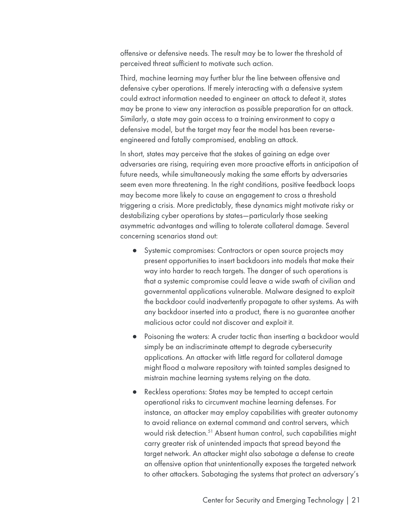offensive or defensive needs. The result may be to lower the threshold of perceived threat sufficient to motivate such action.

Third, machine learning may further blur the line between offensive and defensive cyber operations. If merely interacting with a defensive system could extract information needed to engineer an attack to defeat it, states may be prone to view any interaction as possible preparation for an attack. Similarly, a state may gain access to a training environment to copy a defensive model, but the target may fear the model has been reverseengineered and fatally compromised, enabling an attack.

In short, states may perceive that the stakes of gaining an edge over adversaries are rising, requiring even more proactive efforts in anticipation of future needs, while simultaneously making the same efforts by adversaries seem even more threatening. In the right conditions, positive feedback loops may become more likely to cause an engagement to cross a threshold triggering a crisis. More predictably, these dynamics might motivate risky or destabilizing cyber operations by states—particularly those seeking asymmetric advantages and willing to tolerate collateral damage. Several concerning scenarios stand out:

- Systemic compromises: Contractors or open source projects may present opportunities to insert backdoors into models that make their way into harder to reach targets. The danger of such operations is that a systemic compromise could leave a wide swath of civilian and governmental applications vulnerable. Malware designed to exploit the backdoor could inadvertently propagate to other systems. As with any backdoor inserted into a product, there is no guarantee another malicious actor could not discover and exploit it.
- Poisoning the waters: A cruder tactic than inserting a backdoor would simply be an indiscriminate attempt to degrade cybersecurity applications. An attacker with little regard for collateral damage might flood a malware repository with tainted samples designed to mistrain machine learning systems relying on the data.
- Reckless operations: States may be tempted to accept certain operational risks to circumvent machine learning defenses. For instance, an attacker may employ capabilities with greater autonomy to avoid reliance on external command and control servers, which would risk detection. <sup>51</sup> Absent human control, such capabilities might carry greater risk of unintended impacts that spread beyond the target network. An attacker might also sabotage a defense to create an offensive option that unintentionally exposes the targeted network to other attackers. Sabotaging the systems that protect an adversary's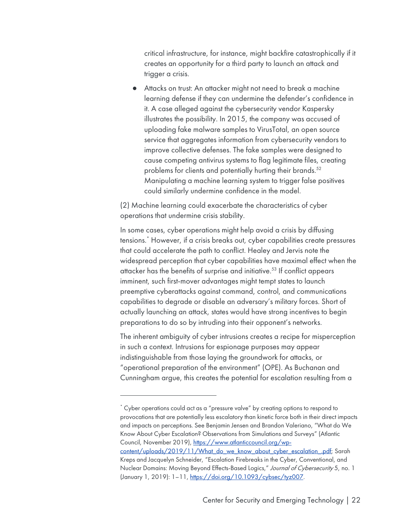critical infrastructure, for instance, might backfire catastrophically if it creates an opportunity for a third party to launch an attack and trigger a crisis.

● Attacks on trust: An attacker might not need to break a machine learning defense if they can undermine the defender's confidence in it. A case alleged against the cybersecurity vendor Kaspersky illustrates the possibility. In 2015, the company was accused of uploading fake malware samples to VirusTotal, an open source service that aggregates information from cybersecurity vendors to improve collective defenses. The fake samples were designed to cause competing antivirus systems to flag legitimate files, creating problems for clients and potentially hurting their brands.<sup>52</sup> Manipulating a machine learning system to trigger false positives could similarly undermine confidence in the model.

(2) Machine learning could exacerbate the characteristics of cyber operations that undermine crisis stability.

In some cases, cyber operations might help avoid a crisis by diffusing tensions.\* However, if a crisis breaks out, cyber capabilities create pressures that could accelerate the path to conflict. Healey and Jervis note the widespread perception that cyber capabilities have maximal effect when the attacker has the benefits of surprise and initiative.<sup>53</sup> If conflict appears imminent, such first-mover advantages might tempt states to launch preemptive cyberattacks against command, control, and communications capabilities to degrade or disable an adversary's military forces. Short of actually launching an attack, states would have strong incentives to begin preparations to do so by intruding into their opponent's networks.

The inherent ambiguity of cyber intrusions creates a recipe for misperception in such a context. Intrusions for espionage purposes may appear indistinguishable from those laying the groundwork for attacks, or "operational preparation of the environment" (OPE). As Buchanan and Cunningham argue, this creates the potential for escalation resulting from a

<sup>\*</sup> Cyber operations could act as a "pressure valve" by creating options to respond to provocations that are potentially less escalatory than kinetic force both in their direct impacts and impacts on perceptions. See Benjamin Jensen and Brandon Valeriano, "What do We Know About Cyber Escalation? Observations from Simulations and Surveys" (Atlantic Council, November 2019), https://www.atlanticcouncil.org/wp-

content/uploads/2019/11/What\_do\_we\_know\_about\_cyber\_escalation\_.pdf; Sarah Kreps and Jacquelyn Schneider, "Escalation Firebreaks in the Cyber, Conventional, and Nuclear Domains: Moving Beyond Effects-Based Logics," Journal of Cybersecurity 5, no. 1 (January 1, 2019): 1–11, https://doi.org/10.1093/cybsec/tyz007.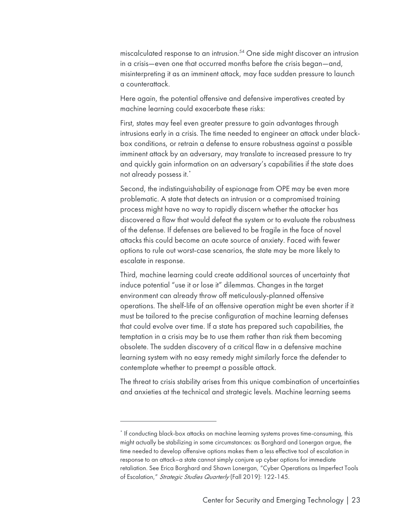miscalculated response to an intrusion.54 One side might discover an intrusion in a crisis—even one that occurred months before the crisis began—and, misinterpreting it as an imminent attack, may face sudden pressure to launch a counterattack.

Here again, the potential offensive and defensive imperatives created by machine learning could exacerbate these risks:

First, states may feel even greater pressure to gain advantages through intrusions early in a crisis. The time needed to engineer an attack under blackbox conditions, or retrain a defense to ensure robustness against a possible imminent attack by an adversary, may translate to increased pressure to try and quickly gain information on an adversary's capabilities if the state does not already possess it. \*

Second, the indistinguishability of espionage from OPE may be even more problematic. A state that detects an intrusion or a compromised training process might have no way to rapidly discern whether the attacker has discovered a flaw that would defeat the system or to evaluate the robustness of the defense. If defenses are believed to be fragile in the face of novel attacks this could become an acute source of anxiety. Faced with fewer options to rule out worst-case scenarios, the state may be more likely to escalate in response.

Third, machine learning could create additional sources of uncertainty that induce potential "use it or lose it" dilemmas. Changes in the target environment can already throw off meticulously-planned offensive operations. The shelf-life of an offensive operation might be even shorter if it must be tailored to the precise configuration of machine learning defenses that could evolve over time. If a state has prepared such capabilities, the temptation in a crisis may be to use them rather than risk them becoming obsolete. The sudden discovery of a critical flaw in a defensive machine learning system with no easy remedy might similarly force the defender to contemplate whether to preempt a possible attack.

The threat to crisis stability arises from this unique combination of uncertainties and anxieties at the technical and strategic levels. Machine learning seems

<sup>\*</sup> If conducting black-box attacks on machine learning systems proves time-consuming, this might actually be stabilizing in some circumstances: as Borghard and Lonergan argue, the time needed to develop offensive options makes them a less effective tool of escalation in response to an attack–a state cannot simply conjure up cyber options for immediate retaliation. See Erica Borghard and Shawn Lonergan, "Cyber Operations as Imperfect Tools of Escalation," Strategic Studies Quarterly (Fall 2019): 122-145.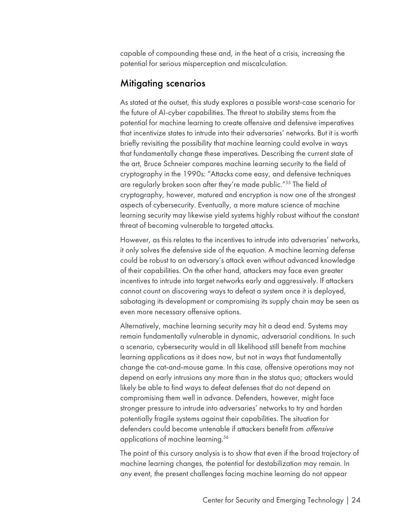capable of compounding these and, in the heat of a crisis, increasing the potential for serious misperception and miscalculation.

#### Mitigating scenarios

As stated at the outset, this study explores a possible worst-case scenario for the future of AI-cyber capabilities. The threat to stability stems from the potential for machine learning to create offensive and defensive imperatives that incentivize states to intrude into their adversaries' networks. But it is worth briefly revisiting the possibility that machine learning could evolve in ways that fundamentally change these imperatives. Describing the current state of the art, Bruce Schneier compares machine learning security to the field of cryptography in the 1990s: "Attacks come easy, and defensive techniques are regularly broken soon after they're made public."<sup>55</sup> The field of cryptography, however, matured and encryption is now one of the strongest aspects of cybersecurity. Eventually, a more mature science of machine learning security may likewise yield systems highly robust without the constant threat of becoming vulnerable to targeted attacks.

However, as this relates to the incentives to intrude into adversaries' networks, it only solves the defensive side of the equation. A machine learning defense could be robust to an adversary's attack even without advanced knowledge of their capabilities. On the other hand, attackers may face even greater incentives to intrude into target networks early and aggressively. If attackers cannot count on discovering ways to defeat a system once it is deployed, sabotaging its development or compromising its supply chain may be seen as even more necessary offensive options.

Alternatively, machine learning security may hit a dead end. Systems may remain fundamentally vulnerable in dynamic, adversarial conditions. In such a scenario, cybersecurity would in all likelihood still benefit from machine learning applications as it does now, but not in ways that fundamentally change the cat-and-mouse game. In this case, offensive operations may not depend on early intrusions any more than in the status quo; attackers would likely be able to find ways to defeat defenses that do not depend on compromising them well in advance. Defenders, however, might face stronger pressure to intrude into adversaries' networks to try and harden potentially fragile systems against their capabilities. The situation for defenders could become untenable if attackers benefit from *offensive* applications of machine learning.<sup>56</sup>

The point of this cursory analysis is to show that even if the broad trajectory of machine learning changes, the potential for destabilization may remain. In any event, the present challenges facing machine learning do not appear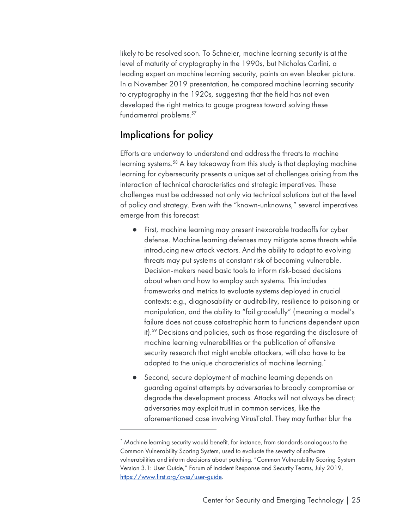likely to be resolved soon. To Schneier, machine learning security is at the level of maturity of cryptography in the 1990s, but Nicholas Carlini, a leading expert on machine learning security, paints an even bleaker picture. In a November 2019 presentation, he compared machine learning security to cryptography in the 1920s, suggesting that the field has not even developed the right metrics to gauge progress toward solving these fundamental problems.<sup>57</sup>

#### Implications for policy

Efforts are underway to understand and address the threats to machine learning systems. <sup>58</sup> A key takeaway from this study is that deploying machine learning for cybersecurity presents a unique set of challenges arising from the interaction of technical characteristics and strategic imperatives. These challenges must be addressed not only via technical solutions but at the level of policy and strategy. Even with the "known-unknowns," several imperatives emerge from this forecast:

- First, machine learning may present inexorable tradeoffs for cyber defense. Machine learning defenses may mitigate some threats while introducing new attack vectors. And the ability to adapt to evolving threats may put systems at constant risk of becoming vulnerable. Decision-makers need basic tools to inform risk-based decisions about when and how to employ such systems. This includes frameworks and metrics to evaluate systems deployed in crucial contexts: e.g., diagnosability or auditability, resilience to poisoning or manipulation, and the ability to "fail gracefully" (meaning a model's failure does not cause catastrophic harm to functions dependent upon it). <sup>59</sup> Decisions and policies, such as those regarding the disclosure of machine learning vulnerabilities or the publication of offensive security research that might enable attackers, will also have to be adapted to the unique characteristics of machine learning. \*
- Second, secure deployment of machine learning depends on guarding against attempts by adversaries to broadly compromise or degrade the development process. Attacks will not always be direct; adversaries may exploit trust in common services, like the aforementioned case involving VirusTotal. They may further blur the

<sup>\*</sup> Machine learning security would benefit, for instance, from standards analogous to the Common Vulnerability Scoring System, used to evaluate the severity of software vulnerabilities and inform decisions about patching. "Common Vulnerability Scoring System Version 3.1: User Guide," Forum of Incident Response and Security Teams, July 2019, https://www.first.org/cvss/user-guide.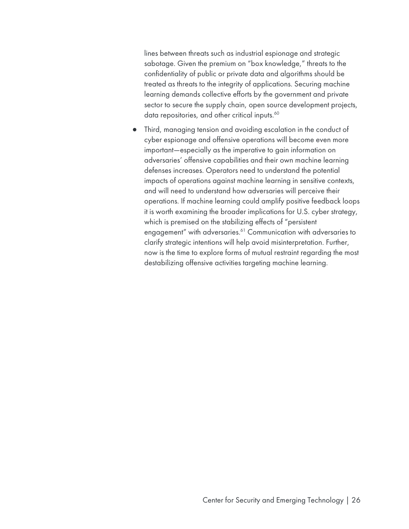lines between threats such as industrial espionage and strategic sabotage. Given the premium on "box knowledge," threats to the confidentiality of public or private data and algorithms should be treated as threats to the integrity of applications. Securing machine learning demands collective efforts by the government and private sector to secure the supply chain, open source development projects, data repositories, and other critical inputs.<sup>60</sup>

Third, managing tension and avoiding escalation in the conduct of cyber espionage and offensive operations will become even more important—especially as the imperative to gain information on adversaries' offensive capabilities and their own machine learning defenses increases. Operators need to understand the potential impacts of operations against machine learning in sensitive contexts, and will need to understand how adversaries will perceive their operations. If machine learning could amplify positive feedback loops it is worth examining the broader implications for U.S. cyber strategy, which is premised on the stabilizing effects of "persistent engagement" with adversaries. <sup>61</sup> Communication with adversaries to clarify strategic intentions will help avoid misinterpretation. Further, now is the time to explore forms of mutual restraint regarding the most destabilizing offensive activities targeting machine learning.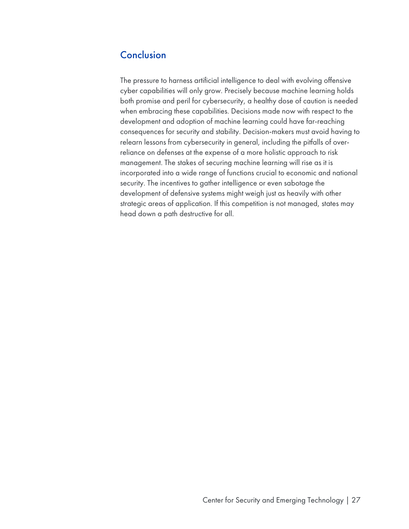## **Conclusion**

The pressure to harness artificial intelligence to deal with evolving offensive cyber capabilities will only grow. Precisely because machine learning holds both promise and peril for cybersecurity, a healthy dose of caution is needed when embracing these capabilities. Decisions made now with respect to the development and adoption of machine learning could have far-reaching consequences for security and stability. Decision-makers must avoid having to relearn lessons from cybersecurity in general, including the pitfalls of overreliance on defenses at the expense of a more holistic approach to risk management. The stakes of securing machine learning will rise as it is incorporated into a wide range of functions crucial to economic and national security. The incentives to gather intelligence or even sabotage the development of defensive systems might weigh just as heavily with other strategic areas of application. If this competition is not managed, states may head down a path destructive for all.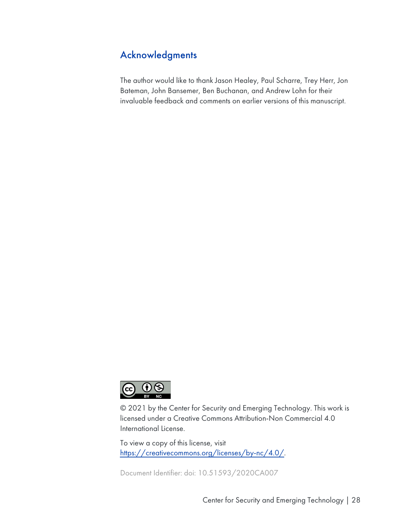# Acknowledgments

The author would like to thank Jason Healey, Paul Scharre, Trey Herr, Jon Bateman, John Bansemer, Ben Buchanan, and Andrew Lohn for their invaluable feedback and comments on earlier versions of this manuscript.



© 2021 by the Center for Security and Emerging Technology. This work is licensed under a Creative Commons Attribution-Non Commercial 4.0 International License.

To view a copy of this license, visit https://creativecommons.org/licenses/by-nc/4.0/.

Document Identifier: doi: 10.51593/2020CA007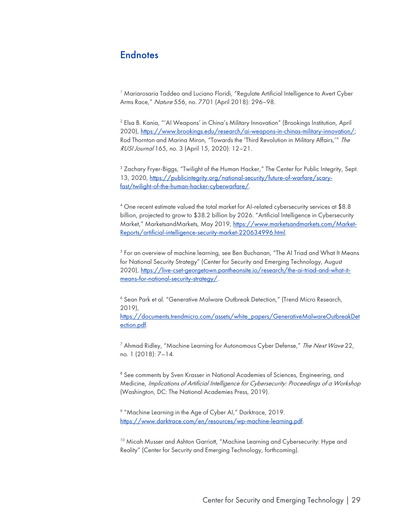#### **Endnotes**

<sup>1</sup> Mariarosaria Taddeo and Luciano Floridi, "Regulate Artificial Intelligence to Avert Cyber Arms Race," Nature 556, no. 7701 (April 2018): 296–98.

<sup>2</sup> Elsa B. Kania, "'AI Weapons' in China's Military Innovation" (Brookings Institution, April 2020), https://www.brookings.edu/research/ai-weapons-in-chinas-military-innovation/; Rod Thornton and Marina Miron, "Towards the 'Third Revolution in Military Affairs,'" The RUSI Journal 165, no. 3 (April 15, 2020): 12–21.

<sup>3</sup> Zachary Fryer-Biggs, "Twilight of the Human Hacker," The Center for Public Integrity, Sept. 13, 2020, https://publicintegrity.org/national-security/future-of-warfare/scaryfast/twilight-of-the-human-hacker-cyberwarfare/.

<sup>4</sup> One recent estimate valued the total market for AI-related cybersecurity services at \$8.8 billion, projected to grow to \$38.2 billion by 2026. "Artificial Intelligence in Cybersecurity Market," MarketsandMarkets, May 2019, https://www.marketsandmarkets.com/Market-Reports/artificial-intelligence-security-market-220634996.html.

<sup>5</sup> For an overview of machine learning, see Ben Buchanan, "The AI Triad and What It Means for National Security Strategy" (Center for Security and Emerging Technology, August 2020), https://live-cset-georgetown.pantheonsite.io/research/the-ai-triad-and-what-itmeans-for-national-security-strategy/.

<sup>6</sup> Sean Park et al. "Generative Malware Outbreak Detection," (Trend Micro Research, 2019),

https://documents.trendmicro.com/assets/white\_papers/GenerativeMalwareOutbreakDet ection.pdf.

 $7$  Ahmad Ridley, "Machine Learning for Autonomous Cyber Defense," The Next Wave 22, no. 1 (2018): 7–14.

<sup>8</sup> See comments by Sven Krasser in National Academies of Sciences, Engineering, and Medicine, Implications of Artificial Intelligence for Cybersecurity: Proceedings of a Workshop (Washington, DC: The National Academies Press, 2019).

<sup>9</sup> "Machine Learning in the Age of Cyber AI," Darktrace, 2019. https://www.darktrace.com/en/resources/wp-machine-learning.pdf.

<sup>10</sup> Micah Musser and Ashton Garriott, "Machine Learning and Cybersecurity: Hype and Reality" (Center for Security and Emerging Technology, forthcoming).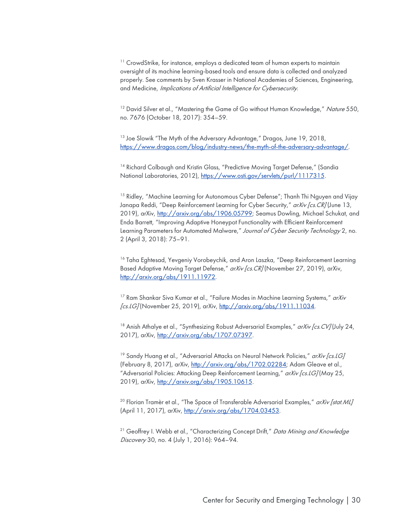<sup>11</sup> CrowdStrike, for instance, employs a dedicated team of human experts to maintain oversight of its machine learning-based tools and ensure data is collected and analyzed properly. See comments by Sven Krasser in National Academies of Sciences, Engineering, and Medicine, Implications of Artificial Intelligence for Cybersecurity.

<sup>12</sup> David Silver et al., "Mastering the Game of Go without Human Knowledge," Nature 550, no. 7676 (October 18, 2017): 354–59.

<sup>13</sup> Joe Slowik "The Myth of the Adversary Advantage," Dragos, June 19, 2018, https://www.dragos.com/blog/industry-news/the-myth-of-the-adversary-advantage/.

<sup>14</sup> Richard Colbaugh and Kristin Glass, "Predictive Moving Target Defense," (Sandia National Laboratories, 2012), https://www.osti.gov/servlets/purl/1117315.

<sup>15</sup> Ridley, "Machine Learning for Autonomous Cyber Defense"; Thanh Thi Nguyen and Vijay Janapa Reddi, "Deep Reinforcement Learning for Cyber Security," arXiv [cs. CR] (June 13, 2019), arXiv, http://arxiv.org/abs/1906.05799; Seamus Dowling, Michael Schukat, and Enda Barrett, "Improving Adaptive Honeypot Functionality with Efficient Reinforcement Learning Parameters for Automated Malware," Journal of Cyber Security Technology 2, no. 2 (April 3, 2018): 75–91.

<sup>16</sup> Taha Eghtesad, Yevgeniy Vorobeychik, and Aron Laszka, "Deep Reinforcement Learning Based Adaptive Moving Target Defense," arXiv [cs. CR] (November 27, 2019), arXiv, http://arxiv.org/abs/1911.11972.

 $17$  Ram Shankar Siva Kumar et al., "Failure Modes in Machine Learning Systems," arXiv [cs.LG] (November 25, 2019), arXiv, http://arxiv.org/abs/1911.11034.

<sup>18</sup> Anish Athalye et al., "Synthesizing Robust Adversarial Examples,"  $arXiv$  [cs. CV] (July 24, 2017), arXiv, http://arxiv.org/abs/1707.07397.

<sup>19</sup> Sandy Huang et al., "Adversarial Attacks on Neural Network Policies,"  $arXiv$  [cs. 1G] (February 8, 2017), arXiv, http://arxiv.org/abs/1702.02284; Adam Gleave et al., "Adversarial Policies: Attacking Deep Reinforcement Learning," arXiv [cs. LG] (May 25, 2019), arXiv, http://arxiv.org/abs/1905.10615.

<sup>20</sup> Florian Tramèr et al., "The Space of Transferable Adversarial Examples," arXiv [stat.ML] (April 11, 2017), arXiv, http://arxiv.org/abs/1704.03453.

<sup>21</sup> Geoffrey I. Webb et al., "Characterizing Concept Drift," Data Minina and Knowledae Discovery 30, no. 4 (July 1, 2016): 964–94.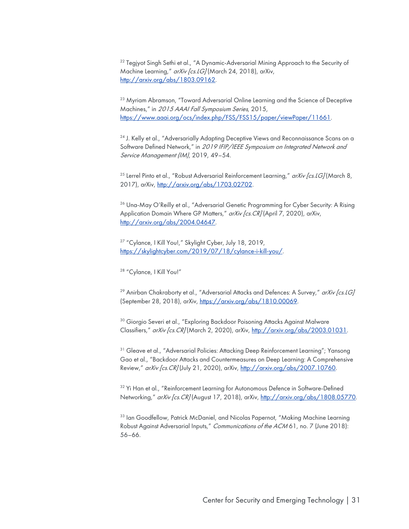<sup>22</sup> Tegjyot Singh Sethi et al., "A Dynamic-Adversarial Mining Approach to the Security of Machine Learning," arXiv [cs. LG] (March 24, 2018), arXiv, http://arxiv.org/abs/1803.09162.

<sup>23</sup> Myriam Abramson, "Toward Adversarial Online Learning and the Science of Deceptive Machines," in 2015 AAAI Fall Symposium Series, 2015, https://www.aaai.org/ocs/index.php/FSS/FSS15/paper/viewPaper/11661.

<sup>24</sup> J. Kelly et al., "Adversarially Adapting Deceptive Views and Reconnaissance Scans on a Software Defined Network," in 2019 IFIP/IEEE Symposium on Integrated Network and Service Management (IM), 2019, 49–54.

<sup>25</sup> Lerrel Pinto et al., "Robust Adversarial Reinforcement Learning,"  $arXiv$  [cs. LG] (March 8, 2017), arXiv, http://arxiv.org/abs/1703.02702.

<sup>26</sup> Una-May O'Reilly et al., "Adversarial Genetic Programming for Cyber Security: A Rising Application Domain Where GP Matters," arXiv [cs. CR] (April 7, 2020), arXiv, http://arxiv.org/abs/2004.04647.

<sup>27</sup> "Cylance, I Kill You!," Skylight Cyber, July 18, 2019, https://skylightcyber.com/2019/07/18/cylance-i-kill-you/.

<sup>28</sup> "Cylance, I Kill You!"

<sup>29</sup> Anirban Chakraborty et al., "Adversarial Attacks and Defences: A Survey,"  $arXiv$  [cs.1G] (September 28, 2018), arXiv, https://arxiv.org/abs/1810.00069.

<sup>30</sup> Giorgio Severi et al., "Exploring Backdoor Poisoning Attacks Against Malware Classifiers," arXiv [cs.CR] (March 2, 2020), arXiv, http://arxiv.org/abs/2003.01031.

<sup>31</sup> Gleave et al., "Adversarial Policies: Attacking Deep Reinforcement Learning"; Yansong Gao et al., "Backdoor Attacks and Countermeasures on Deep Learning: A Comprehensive Review," arXiv [cs.CR] (July 21, 2020), arXiv, http://arxiv.org/abs/2007.10760.

<sup>32</sup> Yi Han et al., "Reinforcement Learning for Autonomous Defence in Software-Defined Networking," arXiv [cs. CR] (August 17, 2018), arXiv, http://arxiv.org/abs/1808.05770.

<sup>33</sup> Ian Goodfellow, Patrick McDaniel, and Nicolas Papernot, "Making Machine Learning Robust Against Adversarial Inputs," Communications of the ACM 61, no. 7 (June 2018): 56–66.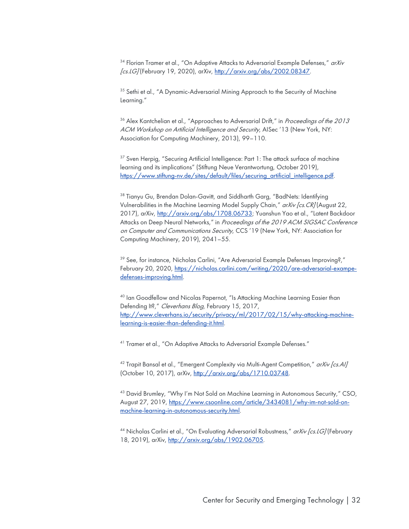$34$  Florian Tramer et al., "On Adaptive Attacks to Adversarial Example Defenses,"  $arXiv$ [cs.LG] (February 19, 2020), arXiv, http://arxiv.org/abs/2002.08347.

<sup>35</sup> Sethi et al., "A Dynamic-Adversarial Mining Approach to the Security of Machine Learning."

<sup>36</sup> Alex Kantchelian et al., "Approaches to Adversarial Drift," in *Proceedings of the 2013* ACM Workshop on Artificial Intelligence and Security, AISec '13 (New York, NY: Association for Computing Machinery, 2013), 99–110.

<sup>37</sup> Sven Herpig, "Securing Artificial Intelligence: Part 1: The attack surface of machine learning and its implications" (Stiftung Neue Verantwortung, October 2019), https://www.stiftung-nv.de/sites/default/files/securing\_artificial\_intelligence.pdf.

<sup>38</sup> Tianyu Gu, Brendan Dolan-Gavitt, and Siddharth Garg, "BadNets: Identifying Vulnerabilities in the Machine Learning Model Supply Chain," arXiv [cs. CR] (August 22, 2017), arXiv, http://arxiv.org/abs/1708.06733; Yuanshun Yao et al., "Latent Backdoor Attacks on Deep Neural Networks," in Proceedings of the 2019 ACM SIGSAC Conference on Computer and Communications Security, CCS '19 (New York, NY: Association for Computing Machinery, 2019), 2041–55.

<sup>39</sup> See, for instance, Nicholas Carlini, "Are Adversarial Example Defenses Improving?," February 20, 2020, https://nicholas.carlini.com/writing/2020/are-adversarial-exampedefenses-improving.html.

<sup>40</sup> Ian Goodfellow and Nicolas Papernot, "Is Attacking Machine Learning Easier than Defending It?," Cleverhans Blog, February 15, 2017, http://www.cleverhans.io/security/privacy/ml/2017/02/15/why-attacking-machinelearning-is-easier-than-defending-it.html.

<sup>41</sup> Tramer et al., "On Adaptive Attacks to Adversarial Example Defenses."

<sup>42</sup> Trapit Bansal et al., "Emergent Complexity via Multi-Agent Competition," arXiv [cs.Al] (October 10, 2017), arXiv, http://arxiv.org/abs/1710.03748.

43 David Brumley, "Why I'm Not Sold on Machine Learning in Autonomous Security," CSO, August 27, 2019, https://www.csoonline.com/article/3434081/why-im-not-sold-onmachine-learning-in-autonomous-security.html.

<sup>44</sup> Nicholas Carlini et al., "On Evaluating Adversarial Robustness," arXiv [cs. LG] (February 18, 2019), arXiv, http://arxiv.org/abs/1902.06705.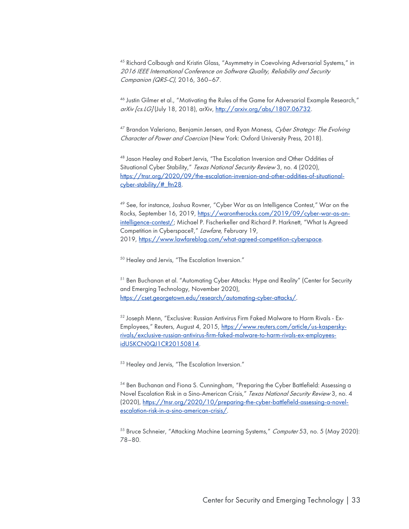<sup>45</sup> Richard Colbaugh and Kristin Glass, "Asymmetry in Coevolving Adversarial Systems," in 2016 IEEE International Conference on Software Quality, Reliability and Security Companion (QRS-C), 2016, 360–67.

<sup>46</sup> Justin Gilmer et al., "Motivating the Rules of the Game for Adversarial Example Research," arXiv [cs.LG] (July 18, 2018), arXiv, http://arxiv.org/abs/1807.06732.

<sup>47</sup> Brandon Valeriano, Benjamin Jensen, and Ryan Maness, Cyber Strategy: The Evolving Character of Power and Coercion (New York: Oxford University Press, 2018).

<sup>48</sup> Jason Healey and Robert Jervis, "The Escalation Inversion and Other Oddities of Situational Cyber Stability," Texas National Security Review 3, no. 4 (2020), https://tnsr.org/2020/09/the-escalation-inversion-and-other-oddities-of-situationalcyber-stability/#\_ftn28.

<sup>49</sup> See, for instance, Joshua Rovner, "Cyber War as an Intelligence Contest," War on the Rocks, September 16, 2019, https://warontherocks.com/2019/09/cyber-war-as-anintelligence-contest/; Michael P. Fischerkeller and Richard P. Harknett, "What Is Agreed Competition in Cyberspace?," Lawfare, February 19, 2019, https://www.lawfareblog.com/what-agreed-competition-cyberspace.

<sup>50</sup> Healey and Jervis, "The Escalation Inversion."

<sup>51</sup> Ben Buchanan et al. "Automating Cyber Attacks: Hype and Reality" (Center for Security and Emerging Technology, November 2020), https://cset.georgetown.edu/research/automating-cyber-attacks/.

<sup>52</sup> Joseph Menn, "Exclusive: Russian Antivirus Firm Faked Malware to Harm Rivals - Ex-Employees," Reuters, August 4, 2015, https://www.reuters.com/article/us-kasperskyrivals/exclusive-russian-antivirus-firm-faked-malware-to-harm-rivals-ex-employeesidUSKCN0QJ1CR20150814.

<sup>53</sup> Healey and Jervis, "The Escalation Inversion."

<sup>54</sup> Ben Buchanan and Fiona S. Cunningham, "Preparing the Cyber Battlefield: Assessing a Novel Escalation Risk in a Sino-American Crisis," Texas National Security Review 3, no. 4 (2020), https://tnsr.org/2020/10/preparing-the-cyber-battlefield-assessing-a-novelescalation-risk-in-a-sino-american-crisis/.

<sup>55</sup> Bruce Schneier, "Attacking Machine Learning Systems," Computer 53, no. 5 (May 2020): 78–80.